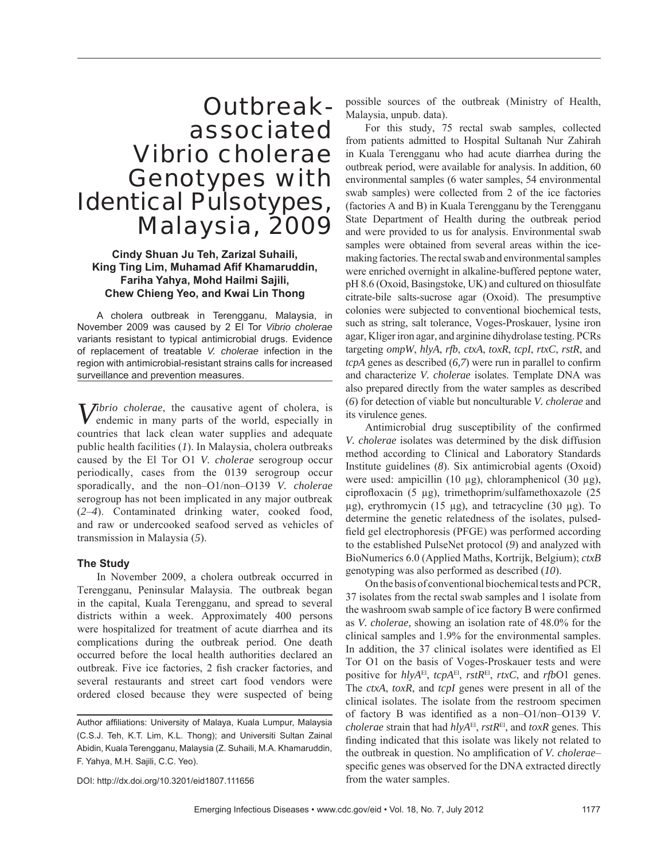# Outbreakassociated *Vibrio cholerae* Genotypes with Identical Pulsotypes, Malaysia, 2009

# **Cindy Shuan Ju Teh, Zarizal Suhaili, King Ting Lim, Muhamad Afif Khamaruddin, Fariha Yahya, Mohd Hailmi Sajili, Chew Chieng Yeo, and Kwai Lin Thong**

A cholera outbreak in Terengganu, Malaysia, in November 2009 was caused by 2 El Tor *Vibrio cholerae* variants resistant to typical antimicrobial drugs. Evidence of replacement of treatable *V. cholerae* infection in the region with antimicrobial-resistant strains calls for increased surveillance and prevention measures.

*Vibrio cholerae*, the causative agent of cholera, is endemic in many parts of the world, especially in countries that lack clean water supplies and adequate public health facilities (*1*). In Malaysia, cholera outbreaks caused by the El Tor O1 *V. cholerae* serogroup occur periodically, cases from the 0139 serogroup occur sporadically, and the non–O1/non–O139 *V. cholerae* serogroup has not been implicated in any major outbreak (*2*–*4*). Contaminated drinking water, cooked food, and raw or undercooked seafood served as vehicles of transmission in Malaysia (*5*).

## **The Study**

In November 2009, a cholera outbreak occurred in Terengganu, Peninsular Malaysia. The outbreak began in the capital, Kuala Terengganu, and spread to several districts within a week. Approximately 400 persons were hospitalized for treatment of acute diarrhea and its complications during the outbreak period. One death occurred before the local health authorities declared an outbreak. Five ice factories, 2 fish cracker factories, and several restaurants and street cart food vendors were ordered closed because they were suspected of being possible sources of the outbreak (Ministry of Health, Malaysia, unpub. data).

For this study, 75 rectal swab samples, collected from patients admitted to Hospital Sultanah Nur Zahirah in Kuala Terengganu who had acute diarrhea during the outbreak period, were available for analysis. In addition, 60 environmental samples (6 water samples, 54 environmental swab samples) were collected from 2 of the ice factories (factories A and B) in Kuala Terengganu by the Terengganu State Department of Health during the outbreak period and were provided to us for analysis. Environmental swab samples were obtained from several areas within the icemaking factories. The rectal swab and environmental samples were enriched overnight in alkaline-buffered peptone water, pH 8.6 (Oxoid, Basingstoke, UK) and cultured on thiosulfate citrate-bile salts-sucrose agar (Oxoid). The presumptive colonies were subjected to conventional biochemical tests, such as string, salt tolerance, Voges-Proskauer, lysine iron agar, Kliger iron agar, and arginine dihydrolase testing. PCRs targeting *ompW*, *hlyA*, *rfb*, *ctxA*, *toxR*, *tcpI*, *rtxC*, *rstR*, and  $tcpA$  genes as described  $(6,7)$  were run in parallel to confirm and characterize *V. cholerae* isolates. Template DNA was also prepared directly from the water samples as described (*6*) for detection of viable but nonculturable *V. cholerae* and its virulence genes.

Antimicrobial drug susceptibility of the confirmed *V. cholerae* isolates was determined by the disk diffusion method according to Clinical and Laboratory Standards Institute guidelines (*8*). Six antimicrobial agents (Oxoid) were used: ampicillin (10 μg), chloramphenicol (30 μg), ciprofloxacin (5 μg), trimethoprim/sulfamethoxazole  $(25$ μg), erythromycin (15 μg), and tetracycline (30 μg). To determine the genetic relatedness of the isolates, pulsedfield gel electrophoresis (PFGE) was performed according to the established PulseNet protocol (*9*) and analyzed with BioNumerics 6.0 (Applied Maths, Kortrijk, Belgium); *ctxB* genotyping was also performed as described (*10*).

On the basis of conventional biochemical tests and PCR, 37 isolates from the rectal swab samples and 1 isolate from the washroom swab sample of ice factory B were confirmed as *V. cholerae,* showing an isolation rate of 48.0% for the clinical samples and 1.9% for the environmental samples. In addition, the 37 clinical isolates were identified as El Tor O1 on the basis of Voges-Proskauer tests and were positive for *hlyA*El, *tcpA*El, *rstR*El, *rtxC*, and *rfb*O1 genes. The *ctxA*, *toxR*, and *tcpI* genes were present in all of the clinical isolates. The isolate from the restroom specimen of factory B was identified as a non–O1/non–O139 *V*. *cholerae* strain that had *hlyA*El, *rstR*El, and *toxR* genes. This finding indicated that this isolate was likely not related to the outbreak in question. No amplification of *V. cholerae*– specific genes was observed for the DNA extracted directly from the water samples.

DOI: http://dx.doi.org/10.3201/eid1807.111656

Author affiliations: University of Malaya, Kuala Lumpur, Malaysia (C.S.J. Teh, K.T. Lim, K.L. Thong); and Universiti Sultan Zainal Abidin, Kuala Terengganu, Malaysia (Z. Suhaili, M.A. Khamaruddin, F. Yahya, M.H. Sajili, C.C. Yeo).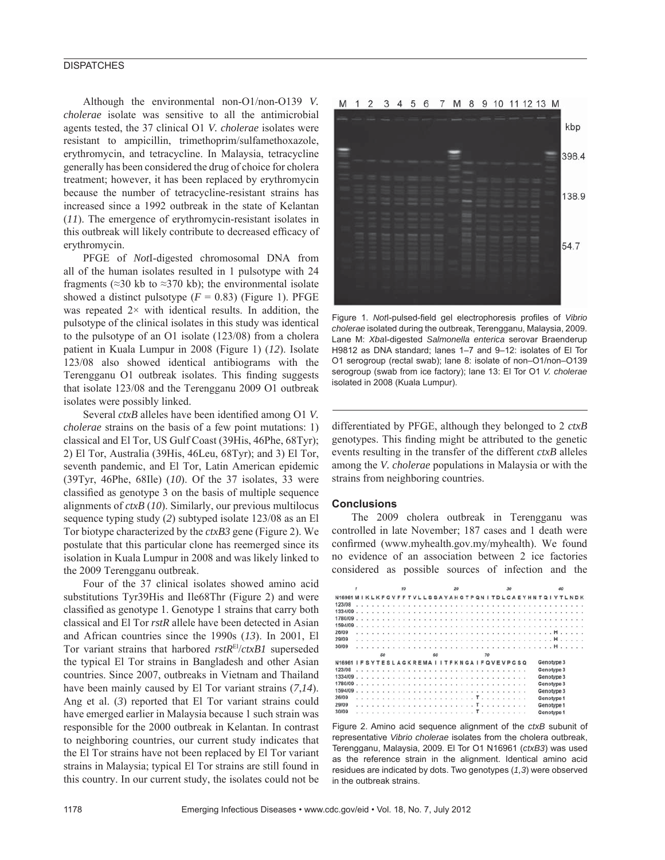## **DISPATCHES**

Although the environmental non-O1/non-O139 *V. cholerae* isolate was sensitive to all the antimicrobial agents tested, the 37 clinical O1 *V. cholerae* isolates were resistant to ampicillin, trimethoprim/sulfamethoxazole, erythromycin, and tetracycline. In Malaysia, tetracycline generally has been considered the drug of choice for cholera treatment; however, it has been replaced by erythromycin because the number of tetracycline-resistant strains has increased since a 1992 outbreak in the state of Kelantan (*11*). The emergence of erythromycin-resistant isolates in this outbreak will likely contribute to decreased efficacy of erythromycin.

PFGE of *Not*I-digested chromosomal DNA from all of the human isolates resulted in 1 pulsotype with 24 fragments ( $\approx$ 30 kb to  $\approx$ 370 kb); the environmental isolate showed a distinct pulsotype  $(F = 0.83)$  (Figure 1). PFGE was repeated  $2 \times$  with identical results. In addition, the pulsotype of the clinical isolates in this study was identical to the pulsotype of an O1 isolate (123/08) from a cholera patient in Kuala Lumpur in 2008 (Figure 1) (*12*). Isolate 123/08 also showed identical antibiograms with the Terengganu O1 outbreak isolates. This finding suggests that isolate 123/08 and the Terengganu 2009 O1 outbreak isolates were possibly linked.

Several *ctxB* alleles have been identified among O1 *V*. *cholerae* strains on the basis of a few point mutations: 1) classical and El Tor, US Gulf Coast (39His, 46Phe, 68Tyr); 2) El Tor, Australia (39His, 46Leu, 68Tyr); and 3) El Tor, seventh pandemic, and El Tor, Latin American epidemic (39Tyr, 46Phe, 68Ile) (*10*). Of the 37 isolates, 33 were classified as genotype 3 on the basis of multiple sequence alignments of *ctxB* (*10*). Similarly, our previous multilocus sequence typing study (*2*) subtyped isolate 123/08 as an El Tor biotype characterized by the *ctxB3* gene (Figure 2). We postulate that this particular clone has reemerged since its isolation in Kuala Lumpur in 2008 and was likely linked to the 2009 Terengganu outbreak.

Four of the 37 clinical isolates showed amino acid substitutions Tyr39His and Ile68Thr (Figure 2) and were classified as genotype 1. Genotype 1 strains that carry both classical and El Tor *rstR* allele have been detected in Asian and African countries since the 1990s (*13*). In 2001, El Tor variant strains that harbored *rstR*El/*ctxB1* superseded the typical El Tor strains in Bangladesh and other Asian countries. Since 2007, outbreaks in Vietnam and Thailand have been mainly caused by El Tor variant strains (*7*,*14*). Ang et al. (*3*) reported that El Tor variant strains could have emerged earlier in Malaysia because 1 such strain was responsible for the 2000 outbreak in Kelantan. In contrast to neighboring countries, our current study indicates that the El Tor strains have not been replaced by El Tor variant strains in Malaysia; typical El Tor strains are still found in this country. In our current study, the isolates could not be

#### M 1 2 3 4 5 6 7 M 8 9 10 11 12 13 M



Figure 1. Notl-pulsed-field gel electrophoresis profiles of Vibrio *cholerae* isolated during the outbreak, Terengganu, Malaysia, 2009. Lane M: *Xba*I-digested *Salmonella enterica* serovar Braenderup H9812 as DNA standard; lanes 1–7 and 9–12: isolates of El Tor O1 serogroup (rectal swab); lane 8: isolate of non–O1/non–O139 serogroup (swab from ice factory); lane 13: El Tor O1 *V. cholerae* isolated in 2008 (Kuala Lumpur).

differentiated by PFGE, although they belonged to 2 *ctxB* genotypes. This finding might be attributed to the genetic events resulting in the transfer of the different *ctxB* alleles among the *V. cholerae* populations in Malaysia or with the strains from neighboring countries.

#### **Conclusions**

The 2009 cholera outbreak in Terengganu was controlled in late November; 187 cases and 1 death were confirmed (www.myhealth.gov.my/myhealth). We found no evidence of an association between 2 ice factories considered as possible sources of infection and the

|                                                                                                | 1 |  |  |  |  |    |  | 10 |  |  |  |  |  |  | 20 |    |  |  |  |  |  |  |  |  | 30 |                                                                                     |  |  |  |  |  |  |  | 40 |  |  |  |  |            |  |  |  |  |  |
|------------------------------------------------------------------------------------------------|---|--|--|--|--|----|--|----|--|--|--|--|--|--|----|----|--|--|--|--|--|--|--|--|----|-------------------------------------------------------------------------------------|--|--|--|--|--|--|--|----|--|--|--|--|------------|--|--|--|--|--|
| N16961 M I K L K F G V F F T V L L S S A Y A H G T P Q N I T D L C A E Y H N T Q I Y T L N D K |   |  |  |  |  |    |  |    |  |  |  |  |  |  |    |    |  |  |  |  |  |  |  |  |    |                                                                                     |  |  |  |  |  |  |  |    |  |  |  |  |            |  |  |  |  |  |
| 123/08                                                                                         |   |  |  |  |  |    |  |    |  |  |  |  |  |  |    |    |  |  |  |  |  |  |  |  |    | state and the state and state and state and state and state and state and state and |  |  |  |  |  |  |  |    |  |  |  |  |            |  |  |  |  |  |
|                                                                                                |   |  |  |  |  |    |  |    |  |  |  |  |  |  |    |    |  |  |  |  |  |  |  |  |    |                                                                                     |  |  |  |  |  |  |  |    |  |  |  |  |            |  |  |  |  |  |
|                                                                                                |   |  |  |  |  |    |  |    |  |  |  |  |  |  |    |    |  |  |  |  |  |  |  |  |    |                                                                                     |  |  |  |  |  |  |  |    |  |  |  |  |            |  |  |  |  |  |
|                                                                                                |   |  |  |  |  |    |  |    |  |  |  |  |  |  |    |    |  |  |  |  |  |  |  |  |    |                                                                                     |  |  |  |  |  |  |  |    |  |  |  |  |            |  |  |  |  |  |
| 26/09                                                                                          |   |  |  |  |  |    |  |    |  |  |  |  |  |  |    |    |  |  |  |  |  |  |  |  |    |                                                                                     |  |  |  |  |  |  |  |    |  |  |  |  |            |  |  |  |  |  |
| 29/09                                                                                          |   |  |  |  |  |    |  |    |  |  |  |  |  |  |    |    |  |  |  |  |  |  |  |  |    |                                                                                     |  |  |  |  |  |  |  |    |  |  |  |  |            |  |  |  |  |  |
| 30/09                                                                                          |   |  |  |  |  |    |  |    |  |  |  |  |  |  |    |    |  |  |  |  |  |  |  |  |    |                                                                                     |  |  |  |  |  |  |  |    |  |  |  |  |            |  |  |  |  |  |
|                                                                                                |   |  |  |  |  | 50 |  |    |  |  |  |  |  |  |    | 60 |  |  |  |  |  |  |  |  |    | 70                                                                                  |  |  |  |  |  |  |  |    |  |  |  |  |            |  |  |  |  |  |
| N16961 IFSYTESLAGKREMAIITFKNGAIFQVEVPGSQ                                                       |   |  |  |  |  |    |  |    |  |  |  |  |  |  |    |    |  |  |  |  |  |  |  |  |    |                                                                                     |  |  |  |  |  |  |  |    |  |  |  |  | Genotype 3 |  |  |  |  |  |
| 123/08                                                                                         |   |  |  |  |  |    |  |    |  |  |  |  |  |  |    |    |  |  |  |  |  |  |  |  |    |                                                                                     |  |  |  |  |  |  |  |    |  |  |  |  | Genotype 3 |  |  |  |  |  |
| 1334/09                                                                                        |   |  |  |  |  |    |  |    |  |  |  |  |  |  |    |    |  |  |  |  |  |  |  |  |    |                                                                                     |  |  |  |  |  |  |  |    |  |  |  |  | Genotype 3 |  |  |  |  |  |
| $1780/09$ .                                                                                    |   |  |  |  |  |    |  |    |  |  |  |  |  |  |    |    |  |  |  |  |  |  |  |  |    | <b><i></i></b>                                                                      |  |  |  |  |  |  |  |    |  |  |  |  | Genotype 3 |  |  |  |  |  |
|                                                                                                |   |  |  |  |  |    |  |    |  |  |  |  |  |  |    |    |  |  |  |  |  |  |  |  |    |                                                                                     |  |  |  |  |  |  |  |    |  |  |  |  | Genotype 3 |  |  |  |  |  |
| 26/09                                                                                          |   |  |  |  |  |    |  |    |  |  |  |  |  |  |    |    |  |  |  |  |  |  |  |  |    |                                                                                     |  |  |  |  |  |  |  |    |  |  |  |  | Genotype 1 |  |  |  |  |  |
| 29/09                                                                                          |   |  |  |  |  |    |  |    |  |  |  |  |  |  |    |    |  |  |  |  |  |  |  |  |    |                                                                                     |  |  |  |  |  |  |  |    |  |  |  |  | Genotype 1 |  |  |  |  |  |
| 30/09                                                                                          |   |  |  |  |  |    |  |    |  |  |  |  |  |  |    |    |  |  |  |  |  |  |  |  |    |                                                                                     |  |  |  |  |  |  |  |    |  |  |  |  | Genotype 1 |  |  |  |  |  |

Figure 2. Amino acid sequence alignment of the *ctxB* subunit of representative *Vibrio cholerae* isolates from the cholera outbreak, Terengganu, Malaysia, 2009. El Tor O1 N16961 (*ctxB3*) was used as the reference strain in the alignment. Identical amino acid residues are indicated by dots. Two genotypes (*1,3*) were observed in the outbreak strains.